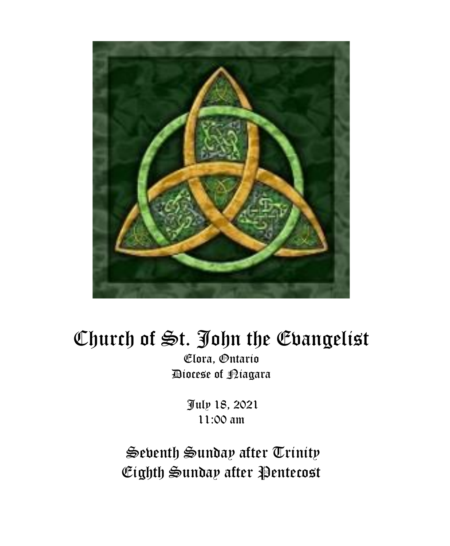

# Church of St. John the Evangelist

Elora, Ontario Diocese of Niagara

> July 18, 2021 11:00 am

Seventh Sunday after Trinity Eighth Sunday after Pentecost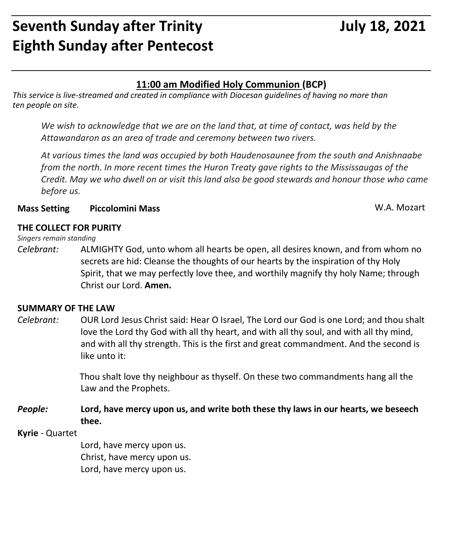## **Seventh Sunday after Trinity Manufary 18, 2021 Eighth Sunday after Pentecost**

#### **11:00 am Modified Holy Communion (BCP)**

*This service is live-streamed and created in compliance with Diocesan guidelines of having no more than ten people on site.* 

*We wish to acknowledge that we are on the land that, at time of contact, was held by the Attawandaron as an area of trade and ceremony between two rivers.*

*At various times the land was occupied by both Haudenosaunee from the south and Anishnaabe from the north. In more recent times the Huron Treaty gave rights to the Mississaugas of the Credit. May we who dwell on or visit this land also be good stewards and honour those who came before us.*

#### **Mass Setting Piccolomini Mass** W.A. Mozart

#### **THE COLLECT FOR PURITY**

#### *Singers remain standing*

*Celebrant:* ALMIGHTY God, unto whom all hearts be open, all desires known, and from whom no secrets are hid: Cleanse the thoughts of our hearts by the inspiration of thy Holy Spirit, that we may perfectly love thee, and worthily magnify thy holy Name; through Christ our Lord. **Amen.**

#### **SUMMARY OF THE LAW**

*Celebrant:* OUR Lord Jesus Christ said: Hear O Israel, The Lord our God is one Lord; and thou shalt love the Lord thy God with all thy heart, and with all thy soul, and with all thy mind, and with all thy strength. This is the first and great commandment. And the second is like unto it:

> Thou shalt love thy neighbour as thyself. On these two commandments hang all the Law and the Prophets.

*People:* **Lord, have mercy upon us, and write both these thy laws in our hearts, we beseech thee.**

#### **Kyrie** - Quartet

Lord, have mercy upon us. Christ, have mercy upon us. Lord, have mercy upon us.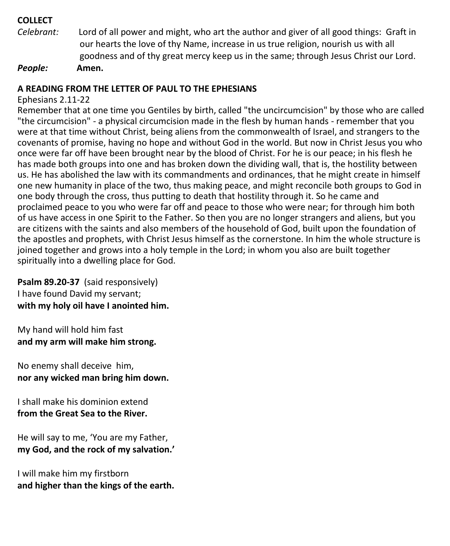#### **COLLECT**

*Celebrant:* Lord of all power and might, who art the author and giver of all good things: Graft in our hearts the love of thy Name, increase in us true religion, nourish us with all goodness and of thy great mercy keep us in the same; through Jesus Christ our Lord. *People:* **Amen.**

#### **A READING FROM THE LETTER OF PAUL TO THE EPHESIANS**

#### Ephesians 2.11-22

Remember that at one time you Gentiles by birth, called "the uncircumcision" by those who are called "the circumcision" - a physical circumcision made in the flesh by human hands - remember that you were at that time without Christ, being aliens from the commonwealth of Israel, and strangers to the covenants of promise, having no hope and without God in the world. But now in Christ Jesus you who once were far off have been brought near by the blood of Christ. For he is our peace; in his flesh he has made both groups into one and has broken down the dividing wall, that is, the hostility between us. He has abolished the law with its commandments and ordinances, that he might create in himself one new humanity in place of the two, thus making peace, and might reconcile both groups to God in one body through the cross, thus putting to death that hostility through it. So he came and proclaimed peace to you who were far off and peace to those who were near; for through him both of us have access in one Spirit to the Father. So then you are no longer strangers and aliens, but you are citizens with the saints and also members of the household of God, built upon the foundation of the apostles and prophets, with Christ Jesus himself as the cornerstone. In him the whole structure is joined together and grows into a holy temple in the Lord; in whom you also are built together spiritually into a dwelling place for God.

#### **Psalm 89.20-37** (said responsively) I have found David my servant; **with my holy oil have I anointed him.**

My hand will hold him fast **and my arm will make him strong.**

No enemy shall deceive him, **nor any wicked man bring him down.**

I shall make his dominion extend **from the Great Sea to the River.**

He will say to me, 'You are my Father, **my God, and the rock of my salvation.'**

I will make him my firstborn **and higher than the kings of the earth.**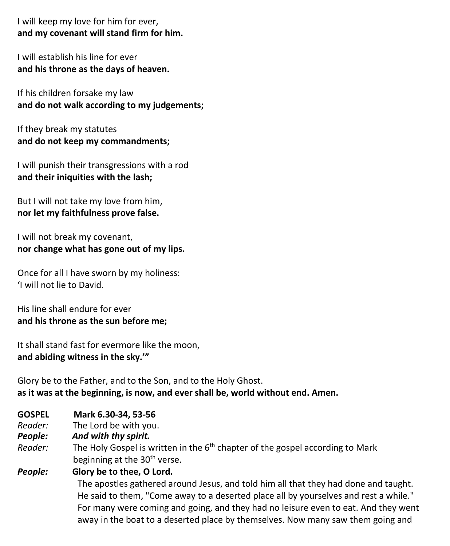I will keep my love for him for ever, **and my covenant will stand firm for him.**

I will establish his line for ever **and his throne as the days of heaven.**

If his children forsake my law **and do not walk according to my judgements;**

If they break my statutes **and do not keep my commandments;**

I will punish their transgressions with a rod **and their iniquities with the lash;**

But I will not take my love from him, **nor let my faithfulness prove false.**

I will not break my covenant, **nor change what has gone out of my lips.**

Once for all I have sworn by my holiness: 'I will not lie to David.

His line shall endure for ever **and his throne as the sun before me;**

It shall stand fast for evermore like the moon, **and abiding witness in the sky.'"**

Glory be to the Father, and to the Son, and to the Holy Ghost. **as it was at the beginning, is now, and ever shall be, world without end. Amen.**

- **GOSPEL Mark 6.30-34, 53-56**
- *Reader:*The Lord be with you.
- *People: And with thy spirit.*
- Reader: The Holy Gospel is written in the 6<sup>th</sup> chapter of the gospel according to Mark beginning at the 30<sup>th</sup> verse.

#### *People:* **Glory be to thee, O Lord.**

The apostles gathered around Jesus, and told him all that they had done and taught. He said to them, "Come away to a deserted place all by yourselves and rest a while." For many were coming and going, and they had no leisure even to eat. And they went away in the boat to a deserted place by themselves. Now many saw them going and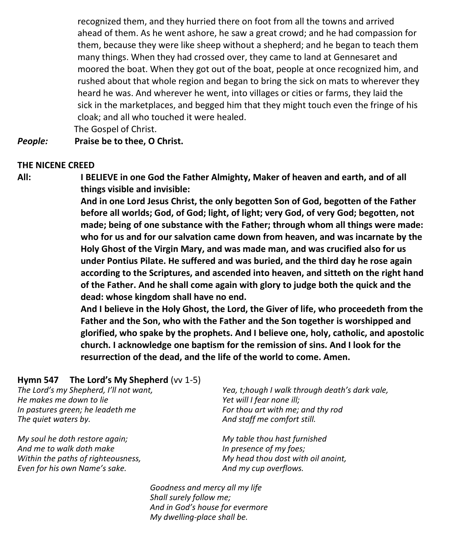recognized them, and they hurried there on foot from all the towns and arrived ahead of them. As he went ashore, he saw a great crowd; and he had compassion for them, because they were like sheep without a shepherd; and he began to teach them many things. When they had crossed over, they came to land at Gennesaret and moored the boat. When they got out of the boat, people at once recognized him, and rushed about that whole region and began to bring the sick on mats to wherever they heard he was. And wherever he went, into villages or cities or farms, they laid the sick in the marketplaces, and begged him that they might touch even the fringe of his cloak; and all who touched it were healed.

The Gospel of Christ.

#### *People:* **Praise be to thee, O Christ.**

#### **THE NICENE CREED**

**All: I BELIEVE in one God the Father Almighty, Maker of heaven and earth, and of all things visible and invisible:**

> **And in one Lord Jesus Christ, the only begotten Son of God, begotten of the Father before all worlds; God, of God; light, of light; very God, of very God; begotten, not made; being of one substance with the Father; through whom all things were made: who for us and for our salvation came down from heaven, and was incarnate by the Holy Ghost of the Virgin Mary, and was made man, and was crucified also for us under Pontius Pilate. He suffered and was buried, and the third day he rose again according to the Scriptures, and ascended into heaven, and sitteth on the right hand of the Father. And he shall come again with glory to judge both the quick and the dead: whose kingdom shall have no end.**

> **And I believe in the Holy Ghost, the Lord, the Giver of life, who proceedeth from the Father and the Son, who with the Father and the Son together is worshipped and glorified, who spake by the prophets. And I believe one, holy, catholic, and apostolic church. I acknowledge one baptism for the remission of sins. And I look for the resurrection of the dead, and the life of the world to come. Amen.**

#### **Hymn 547 The Lord's My Shepherd** (vv 1-5)

*The Lord's my Shepherd, I'll not want, He makes me down to lie In pastures green; he leadeth me The quiet waters by.*

*My soul he doth restore again; And me to walk doth make Within the paths of righteousness, Even for his own Name's sake.*

*Yea, t;hough I walk through death's dark vale, Yet will I fear none ill; For thou art with me; and thy rod And staff me comfort still.*

*My table thou hast furnished In presence of my foes; My head thou dost with oil anoint, And my cup overflows.*

*Goodness and mercy all my life Shall surely follow me; And in God's house for evermore My dwelling-place shall be.*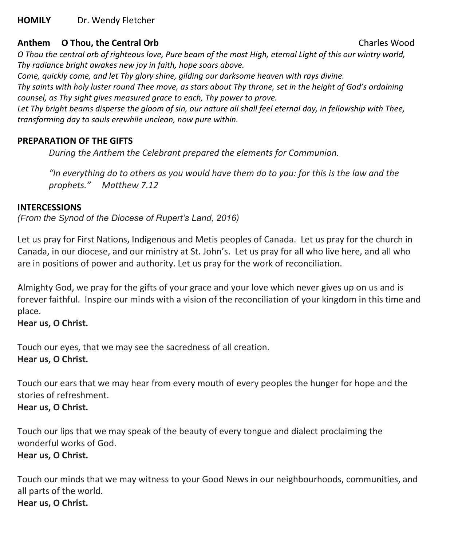#### **HOMILY** Dr. Wendy Fletcher

#### **Anthem O Thou, the Central Orb** Charles Wood

O Thou the central orb of righteous love, Pure beam of the most High, eternal Light of this our wintry world, *Thy radiance bright awakes new joy in faith, hope soars above.*

*Come, quickly come, and let Thy glory shine, gilding our darksome heaven with rays divine.*

Thy saints with holy luster round Thee move, as stars about Thy throne, set in the height of God's ordaining *counsel, as Thy sight gives measured grace to each, Thy power to prove.*

Let Thy bright beams disperse the gloom of sin, our nature all shall feel eternal day, in fellowship with Thee, *transforming day to souls erewhile unclean, now pure within.*

#### **PREPARATION OF THE GIFTS**

*During the Anthem the Celebrant prepared the elements for Communion.*

*"In everything do to others as you would have them do to you: for this is the law and the prophets." Matthew 7.12*

#### **INTERCESSIONS**

*(From the Synod of the Diocese of Rupert's Land, 2016)*

Let us pray for First Nations, Indigenous and Metis peoples of Canada. Let us pray for the church in Canada, in our diocese, and our ministry at St. John's. Let us pray for all who live here, and all who are in positions of power and authority. Let us pray for the work of reconciliation.

Almighty God, we pray for the gifts of your grace and your love which never gives up on us and is forever faithful. Inspire our minds with a vision of the reconciliation of your kingdom in this time and place.

#### **Hear us, O Christ.**

Touch our eyes, that we may see the sacredness of all creation. **Hear us, O Christ.**

Touch our ears that we may hear from every mouth of every peoples the hunger for hope and the stories of refreshment. **Hear us, O Christ.**

#### Touch our lips that we may speak of the beauty of every tongue and dialect proclaiming the wonderful works of God. **Hear us, O Christ.**

Touch our minds that we may witness to your Good News in our neighbourhoods, communities, and all parts of the world. **Hear us, O Christ.**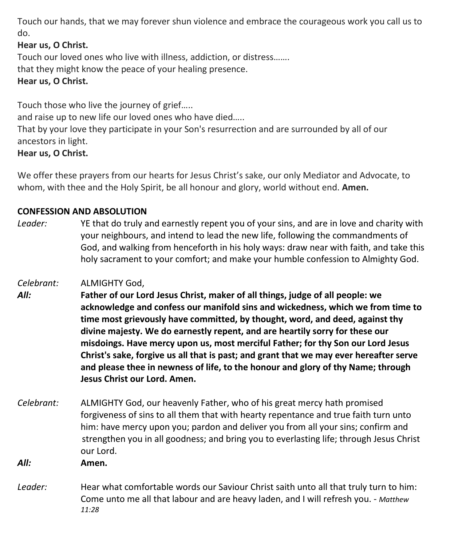Touch our hands, that we may forever shun violence and embrace the courageous work you call us to do.

#### **Hear us, O Christ.**

Touch our loved ones who live with illness, addiction, or distress……. that they might know the peace of your healing presence. **Hear us, O Christ.**

Touch those who live the journey of grief…..

and raise up to new life our loved ones who have died…..

That by your love they participate in your Son's resurrection and are surrounded by all of our ancestors in light.

#### **Hear us, O Christ.**

We offer these prayers from our hearts for Jesus Christ's sake, our only Mediator and Advocate, to whom, with thee and the Holy Spirit, be all honour and glory, world without end. **Amen.**

#### **CONFESSION AND ABSOLUTION**

*Leader:* YE that do truly and earnestly repent you of your sins, and are in love and charity with your neighbours, and intend to lead the new life, following the commandments of God, and walking from henceforth in his holy ways: draw near with faith, and take this holy sacrament to your comfort; and make your humble confession to Almighty God.

#### *Celebrant:* ALMIGHTY God,

- *All:* **Father of our Lord Jesus Christ, maker of all things, judge of all people: we acknowledge and confess our manifold sins and wickedness, which we from time to time most grievously have committed, by thought, word, and deed, against thy divine majesty. We do earnestly repent, and are heartily sorry for these our misdoings. Have mercy upon us, most merciful Father; for thy Son our Lord Jesus Christ's sake, forgive us all that is past; and grant that we may ever hereafter serve and please thee in newness of life, to the honour and glory of thy Name; through Jesus Christ our Lord. Amen.**
- *Celebrant:* ALMIGHTY God, our heavenly Father, who of his great mercy hath promised forgiveness of sins to all them that with hearty repentance and true faith turn unto him: have mercy upon you; pardon and deliver you from all your sins; confirm and strengthen you in all goodness; and bring you to everlasting life; through Jesus Christ our Lord.

*All:* **Amen.**

*Leader:* Hear what comfortable words our Saviour Christ saith unto all that truly turn to him: Come unto me all that labour and are heavy laden, and I will refresh you. - *Matthew 11:28*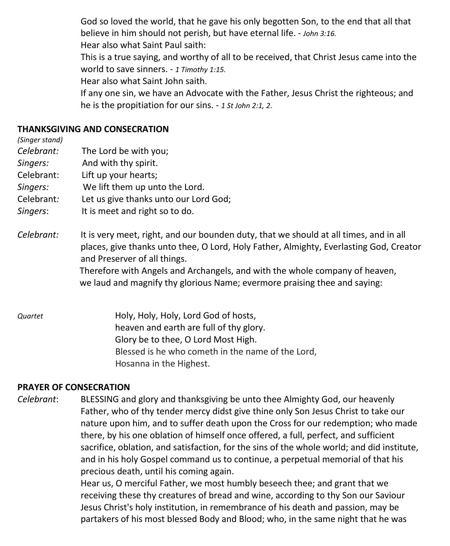God so loved the world, that he gave his only begotten Son, to the end that all that believe in him should not perish, but have eternal life. - *John 3:16.* Hear also what Saint Paul saith: This is a true saying, and worthy of all to be received, that Christ Jesus came into the world to save sinners. - *1 Timothy 1:15.* Hear also what Saint John saith. If any one sin, we have an Advocate with the Father, Jesus Christ the righteous; and he is the propitiation for our sins. - *1 St John 2:1, 2*.

#### **THANKSGIVING AND CONSECRATION**

*(Singer stand)*

- *Celebrant:* The Lord be with you;
- *Singers:* And with thy spirit.
- Celebrant: Lift up your hearts;
- *Singers:* We lift them up unto the Lord.
- Celebrant*:* Let us give thanks unto our Lord God;
- *Singers*: It is meet and right so to do.
- *Celebrant:* It is very meet, right, and our bounden duty, that we should at all times, and in all places, give thanks unto thee, O Lord, Holy Father, Almighty, Everlasting God, Creator and Preserver of all things.

Therefore with Angels and Archangels, and with the whole company of heaven, we laud and magnify thy glorious Name; evermore praising thee and saying:

*Quartet* Holy, Holy, Holy, Lord God of hosts, heaven and earth are full of thy glory. Glory be to thee, O Lord Most High. Blessed is he who cometh in the name of the Lord, Hosanna in the Highest.

#### **PRAYER OF CONSECRATION**

*Celebrant*: BLESSING and glory and thanksgiving be unto thee Almighty God, our heavenly Father, who of thy tender mercy didst give thine only Son Jesus Christ to take our nature upon him, and to suffer death upon the Cross for our redemption; who made there, by his one oblation of himself once offered, a full, perfect, and sufficient sacrifice, oblation, and satisfaction, for the sins of the whole world; and did institute, and in his holy Gospel command us to continue, a perpetual memorial of that his precious death, until his coming again.

> Hear us, O merciful Father, we most humbly beseech thee; and grant that we receiving these thy creatures of bread and wine, according to thy Son our Saviour Jesus Christ's holy institution, in remembrance of his death and passion, may be partakers of his most blessed Body and Blood; who, in the same night that he was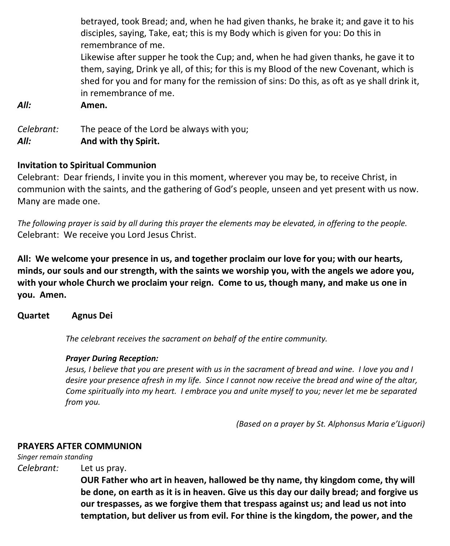|                    | betrayed, took Bread; and, when he had given thanks, he brake it; and gave it to his<br>disciples, saying, Take, eat; this is my Body which is given for you: Do this in                                                                                                                              |
|--------------------|-------------------------------------------------------------------------------------------------------------------------------------------------------------------------------------------------------------------------------------------------------------------------------------------------------|
|                    | remembrance of me.                                                                                                                                                                                                                                                                                    |
|                    | Likewise after supper he took the Cup; and, when he had given thanks, he gave it to<br>them, saying, Drink ye all, of this; for this is my Blood of the new Covenant, which is<br>shed for you and for many for the remission of sins: Do this, as oft as ye shall drink it,<br>in remembrance of me. |
| All:               | Amen.                                                                                                                                                                                                                                                                                                 |
| Celebrant:<br>All: | The peace of the Lord be always with you;<br>And with thy Spirit.                                                                                                                                                                                                                                     |

#### **Invitation to Spiritual Communion**

Celebrant: Dear friends, I invite you in this moment, wherever you may be, to receive Christ, in communion with the saints, and the gathering of God's people, unseen and yet present with us now. Many are made one.

*The following prayer is said by all during this prayer the elements may be elevated, in offering to the people.* Celebrant: We receive you Lord Jesus Christ.

**All: We welcome your presence in us, and together proclaim our love for you; with our hearts, minds, our souls and our strength, with the saints we worship you, with the angels we adore you, with your whole Church we proclaim your reign. Come to us, though many, and make us one in you. Amen.**

#### **Quartet Agnus Dei**

*The celebrant receives the sacrament on behalf of the entire community.*

#### *Prayer During Reception:*

Jesus, I believe that you are present with us in the sacrament of bread and wine. I love you and I desire your presence afresh in my life. Since I cannot now receive the bread and wine of the altar, *Come spiritually into my heart. I embrace you and unite myself to you; never let me be separated from you.*

*(Based on a prayer by St. Alphonsus Maria e'Liguori)*

#### **PRAYERS AFTER COMMUNION**

*Singer remain standing*

*Celebrant:* Let us pray.

**OUR Father who art in heaven, hallowed be thy name, thy kingdom come, thy will be done, on earth as it is in heaven. Give us this day our daily bread; and forgive us our trespasses, as we forgive them that trespass against us; and lead us not into temptation, but deliver us from evil. For thine is the kingdom, the power, and the**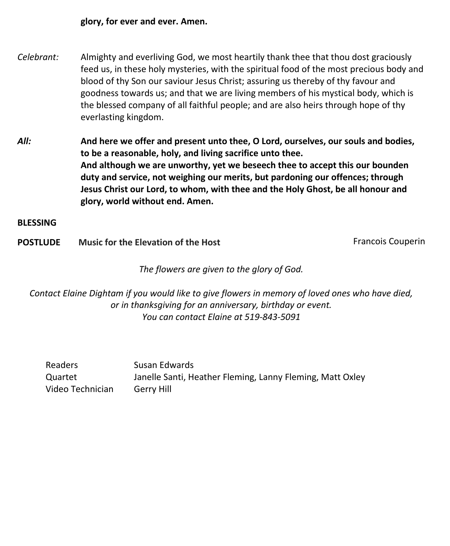**glory, for ever and ever. Amen.**

- *Celebrant:* Almighty and everliving God, we most heartily thank thee that thou dost graciously feed us, in these holy mysteries, with the spiritual food of the most precious body and blood of thy Son our saviour Jesus Christ; assuring us thereby of thy favour and goodness towards us; and that we are living members of his mystical body, which is the blessed company of all faithful people; and are also heirs through hope of thy everlasting kingdom.
- *All:* **And here we offer and present unto thee, O Lord, ourselves, our souls and bodies, to be a reasonable, holy, and living sacrifice unto thee. And although we are unworthy, yet we beseech thee to accept this our bounden duty and service, not weighing our merits, but pardoning our offences; through Jesus Christ our Lord, to whom, with thee and the Holy Ghost, be all honour and glory, world without end. Amen.**

**BLESSING**

**POSTLUDE** Music for the Elevation of the Host **Francois Couperin** 

*The flowers are given to the glory of God.*

*Contact Elaine Dightam if you would like to give flowers in memory of loved ones who have died, or in thanksgiving for an anniversary, birthday or event. You can contact Elaine at 519-843-5091*

| Readers          | Susan Edwards                                             |
|------------------|-----------------------------------------------------------|
| Quartet          | Janelle Santi, Heather Fleming, Lanny Fleming, Matt Oxley |
| Video Technician | Gerry Hill                                                |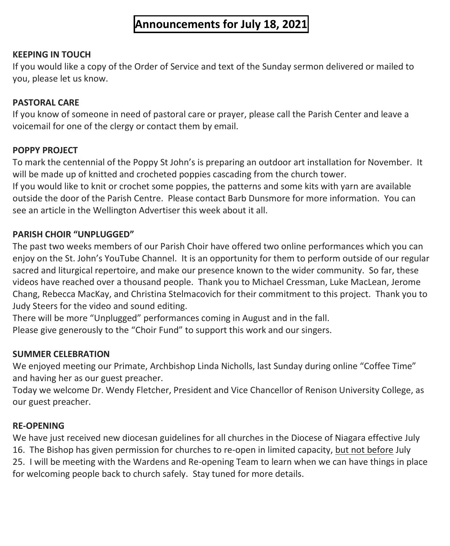### **Announcements for July 18, 2021**

#### **KEEPING IN TOUCH**

If you would like a copy of the Order of Service and text of the Sunday sermon delivered or mailed to you, please let us know.

#### **PASTORAL CARE**

If you know of someone in need of pastoral care or prayer, please call the Parish Center and leave a voicemail for one of the clergy or contact them by email.

#### **POPPY PROJECT**

To mark the centennial of the Poppy St John's is preparing an outdoor art installation for November. It will be made up of knitted and crocheted poppies cascading from the church tower.

If you would like to knit or crochet some poppies, the patterns and some kits with yarn are available outside the door of the Parish Centre. Please contact Barb Dunsmore for more information. You can see an article in the Wellington Advertiser this week about it all.

#### **PARISH CHOIR "UNPLUGGED"**

The past two weeks members of our Parish Choir have offered two online performances which you can enjoy on the St. John's YouTube Channel. It is an opportunity for them to perform outside of our regular sacred and liturgical repertoire, and make our presence known to the wider community. So far, these videos have reached over a thousand people. Thank you to Michael Cressman, Luke MacLean, Jerome Chang, Rebecca MacKay, and Christina Stelmacovich for their commitment to this project. Thank you to Judy Steers for the video and sound editing.

There will be more "Unplugged" performances coming in August and in the fall. Please give generously to the "Choir Fund" to support this work and our singers.

#### **SUMMER CELEBRATION**

We enjoyed meeting our Primate, Archbishop Linda Nicholls, last Sunday during online "Coffee Time" and having her as our guest preacher.

Today we welcome Dr. Wendy Fletcher, President and Vice Chancellor of Renison University College, as our guest preacher.

#### **RE-OPENING**

We have just received new diocesan guidelines for all churches in the Diocese of Niagara effective July 16. The Bishop has given permission for churches to re-open in limited capacity, but not before July 25. I will be meeting with the Wardens and Re-opening Team to learn when we can have things in place for welcoming people back to church safely. Stay tuned for more details.